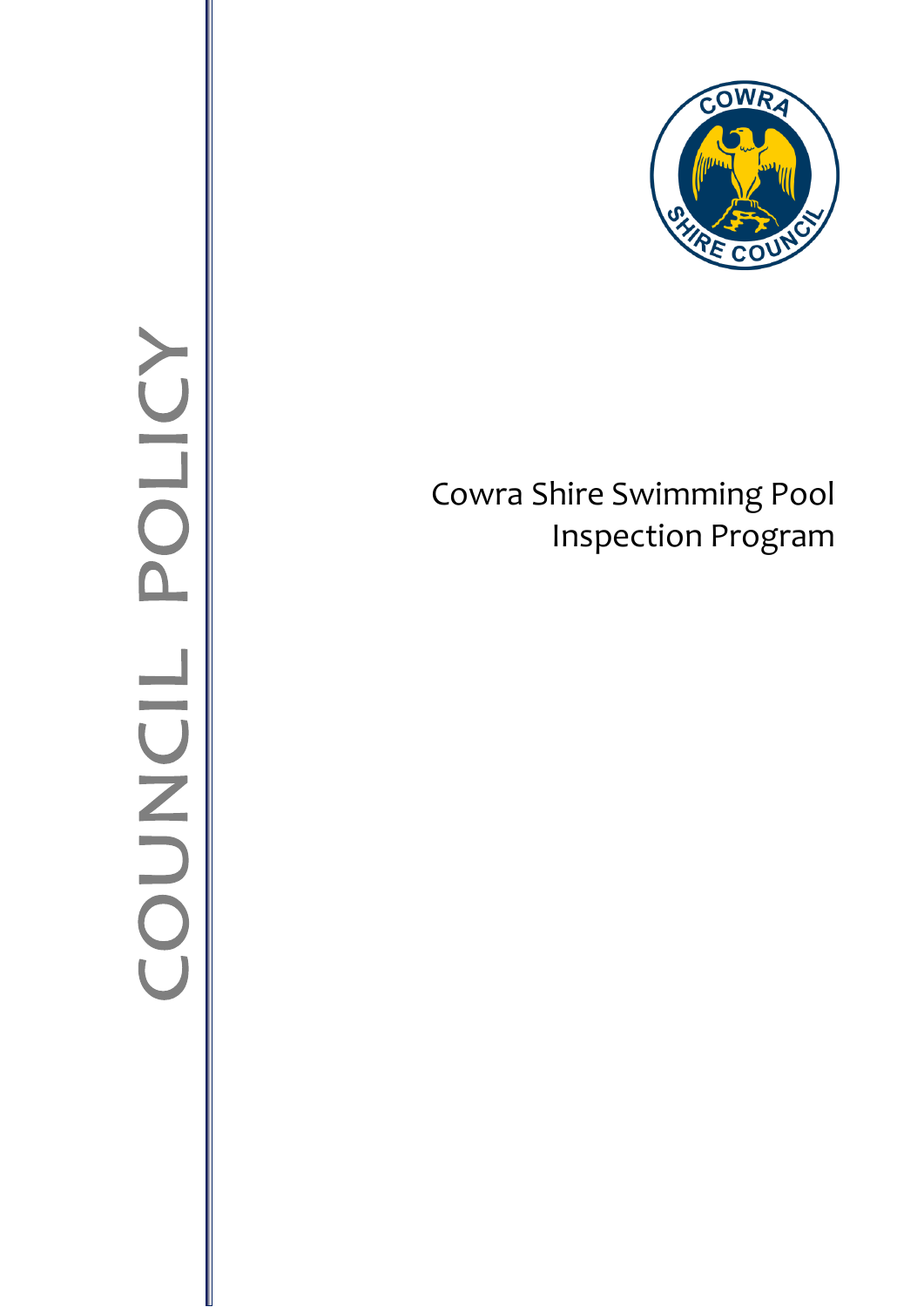

# Cowra Shire Swimming Pool Inspection Program

# POLICY **IIDNO**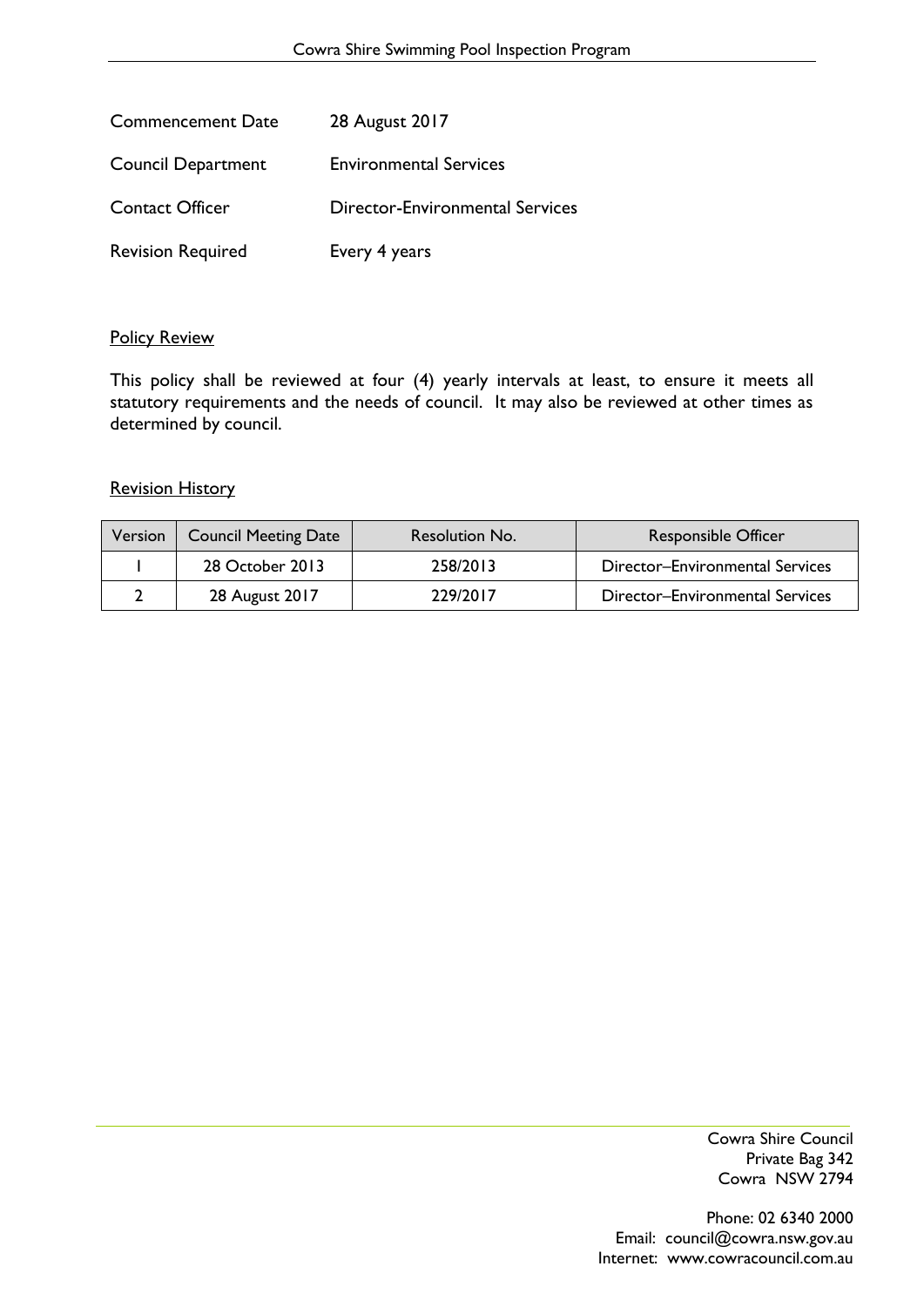| <b>Commencement Date</b>  | 28 August 2017                         |
|---------------------------|----------------------------------------|
| <b>Council Department</b> | <b>Environmental Services</b>          |
| <b>Contact Officer</b>    | <b>Director-Environmental Services</b> |
| <b>Revision Required</b>  | Every 4 years                          |

#### Policy Review

This policy shall be reviewed at four (4) yearly intervals at least, to ensure it meets all statutory requirements and the needs of council. It may also be reviewed at other times as determined by council.

#### **Revision History**

| Version | <b>Council Meeting Date</b> | Resolution No. | <b>Responsible Officer</b>      |
|---------|-----------------------------|----------------|---------------------------------|
|         | 28 October 2013             | 258/2013       | Director-Environmental Services |
|         | 28 August 2017              | 229/2017       | Director-Environmental Services |

Cowra Shire Council Private Bag 342 Cowra NSW 2794

Phone: 02 6340 2000 Email: council@cowra.nsw.gov.au Internet: [www.cowracouncil.com.au](http://www.cowracouncil.com.au/)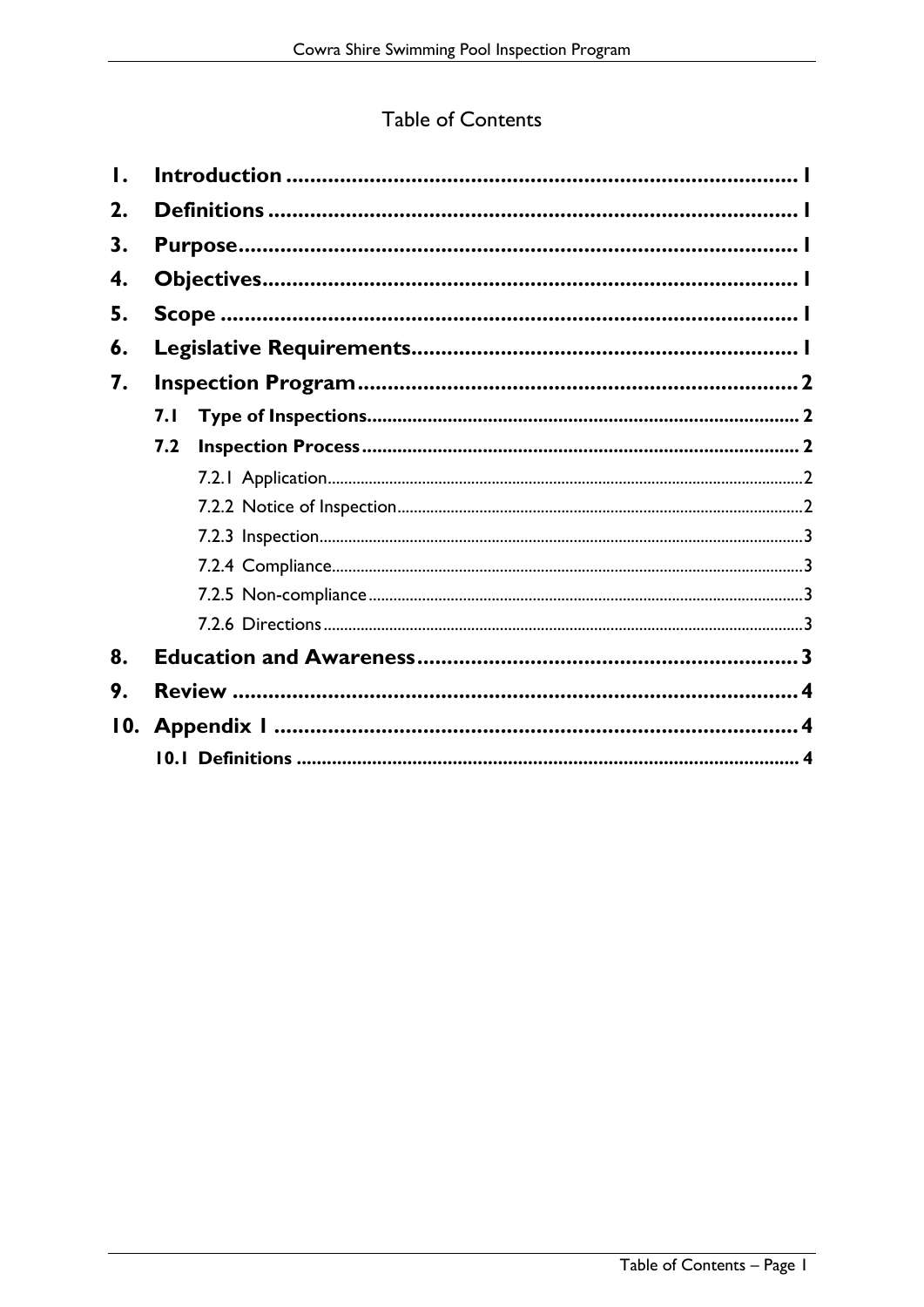# Table of Contents

| Ι.  |      |  |
|-----|------|--|
| 2.  |      |  |
| 3.  |      |  |
| 4.  |      |  |
| 5.  |      |  |
| 6.  |      |  |
| 7.  |      |  |
|     | 7. I |  |
|     | 7.2  |  |
|     |      |  |
|     |      |  |
|     |      |  |
|     |      |  |
|     |      |  |
|     |      |  |
| 8.  |      |  |
| 9.  |      |  |
| 10. |      |  |
|     |      |  |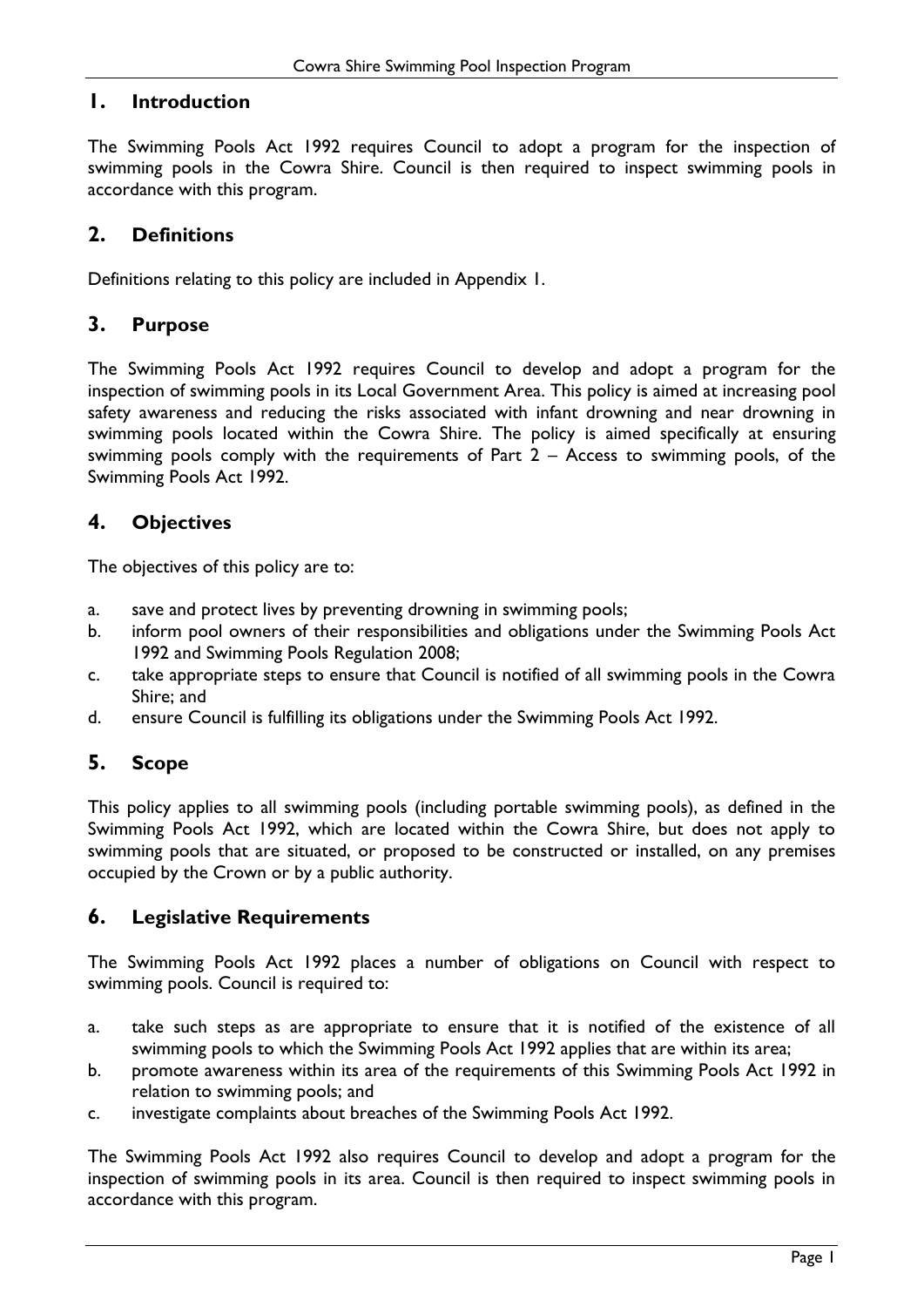# <span id="page-3-0"></span>**1. Introduction**

The Swimming Pools Act 1992 requires Council to adopt a program for the inspection of swimming pools in the Cowra Shire. Council is then required to inspect swimming pools in accordance with this program.

# <span id="page-3-1"></span>**2. Definitions**

Definitions relating to this policy are included in Appendix 1.

# <span id="page-3-2"></span>**3. Purpose**

The Swimming Pools Act 1992 requires Council to develop and adopt a program for the inspection of swimming pools in its Local Government Area. This policy is aimed at increasing pool safety awareness and reducing the risks associated with infant drowning and near drowning in swimming pools located within the Cowra Shire. The policy is aimed specifically at ensuring swimming pools comply with the requirements of Part  $2 -$  Access to swimming pools, of the Swimming Pools Act 1992.

# <span id="page-3-3"></span>**4. Objectives**

The objectives of this policy are to:

- a. save and protect lives by preventing drowning in swimming pools;
- b. inform pool owners of their responsibilities and obligations under the Swimming Pools Act 1992 and Swimming Pools Regulation 2008;
- c. take appropriate steps to ensure that Council is notified of all swimming pools in the Cowra Shire; and
- d. ensure Council is fulfilling its obligations under the Swimming Pools Act 1992.

# <span id="page-3-4"></span>**5. Scope**

This policy applies to all swimming pools (including portable swimming pools), as defined in the Swimming Pools Act 1992, which are located within the Cowra Shire, but does not apply to swimming pools that are situated, or proposed to be constructed or installed, on any premises occupied by the Crown or by a public authority.

# <span id="page-3-5"></span>**6. Legislative Requirements**

The Swimming Pools Act 1992 places a number of obligations on Council with respect to swimming pools. Council is required to:

- a. take such steps as are appropriate to ensure that it is notified of the existence of all swimming pools to which the Swimming Pools Act 1992 applies that are within its area;
- b. promote awareness within its area of the requirements of this Swimming Pools Act 1992 in relation to swimming pools; and
- c. investigate complaints about breaches of the Swimming Pools Act 1992.

The Swimming Pools Act 1992 also requires Council to develop and adopt a program for the inspection of swimming pools in its area. Council is then required to inspect swimming pools in accordance with this program.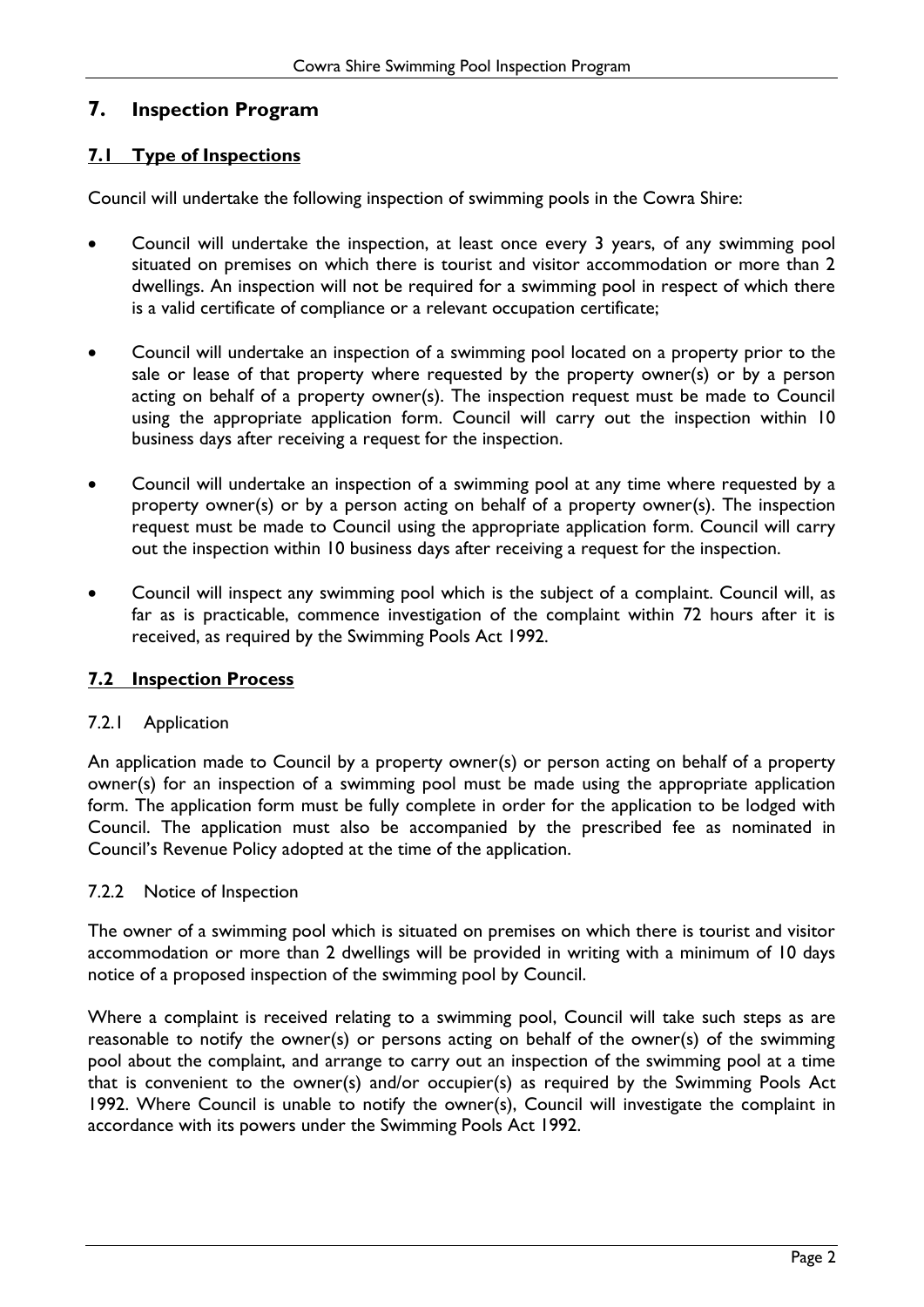# <span id="page-4-0"></span>**7. Inspection Program**

# <span id="page-4-1"></span>**7.1 Type of Inspections**

Council will undertake the following inspection of swimming pools in the Cowra Shire:

- Council will undertake the inspection, at least once every 3 years, of any swimming pool situated on premises on which there is tourist and visitor accommodation or more than 2 dwellings. An inspection will not be required for a swimming pool in respect of which there is a valid certificate of compliance or a relevant occupation certificate;
- Council will undertake an inspection of a swimming pool located on a property prior to the sale or lease of that property where requested by the property owner(s) or by a person acting on behalf of a property owner(s). The inspection request must be made to Council using the appropriate application form. Council will carry out the inspection within 10 business days after receiving a request for the inspection.
- Council will undertake an inspection of a swimming pool at any time where requested by a property owner(s) or by a person acting on behalf of a property owner(s). The inspection request must be made to Council using the appropriate application form. Council will carry out the inspection within 10 business days after receiving a request for the inspection.
- Council will inspect any swimming pool which is the subject of a complaint. Council will, as far as is practicable, commence investigation of the complaint within 72 hours after it is received, as required by the Swimming Pools Act 1992.

# <span id="page-4-2"></span>**7.2 Inspection Process**

# <span id="page-4-3"></span>7.2.1 Application

An application made to Council by a property owner(s) or person acting on behalf of a property owner(s) for an inspection of a swimming pool must be made using the appropriate application form. The application form must be fully complete in order for the application to be lodged with Council. The application must also be accompanied by the prescribed fee as nominated in Council's Revenue Policy adopted at the time of the application.

# <span id="page-4-4"></span>7.2.2 Notice of Inspection

The owner of a swimming pool which is situated on premises on which there is tourist and visitor accommodation or more than 2 dwellings will be provided in writing with a minimum of 10 days notice of a proposed inspection of the swimming pool by Council.

Where a complaint is received relating to a swimming pool, Council will take such steps as are reasonable to notify the owner(s) or persons acting on behalf of the owner(s) of the swimming pool about the complaint, and arrange to carry out an inspection of the swimming pool at a time that is convenient to the owner(s) and/or occupier(s) as required by the Swimming Pools Act 1992. Where Council is unable to notify the owner(s), Council will investigate the complaint in accordance with its powers under the Swimming Pools Act 1992.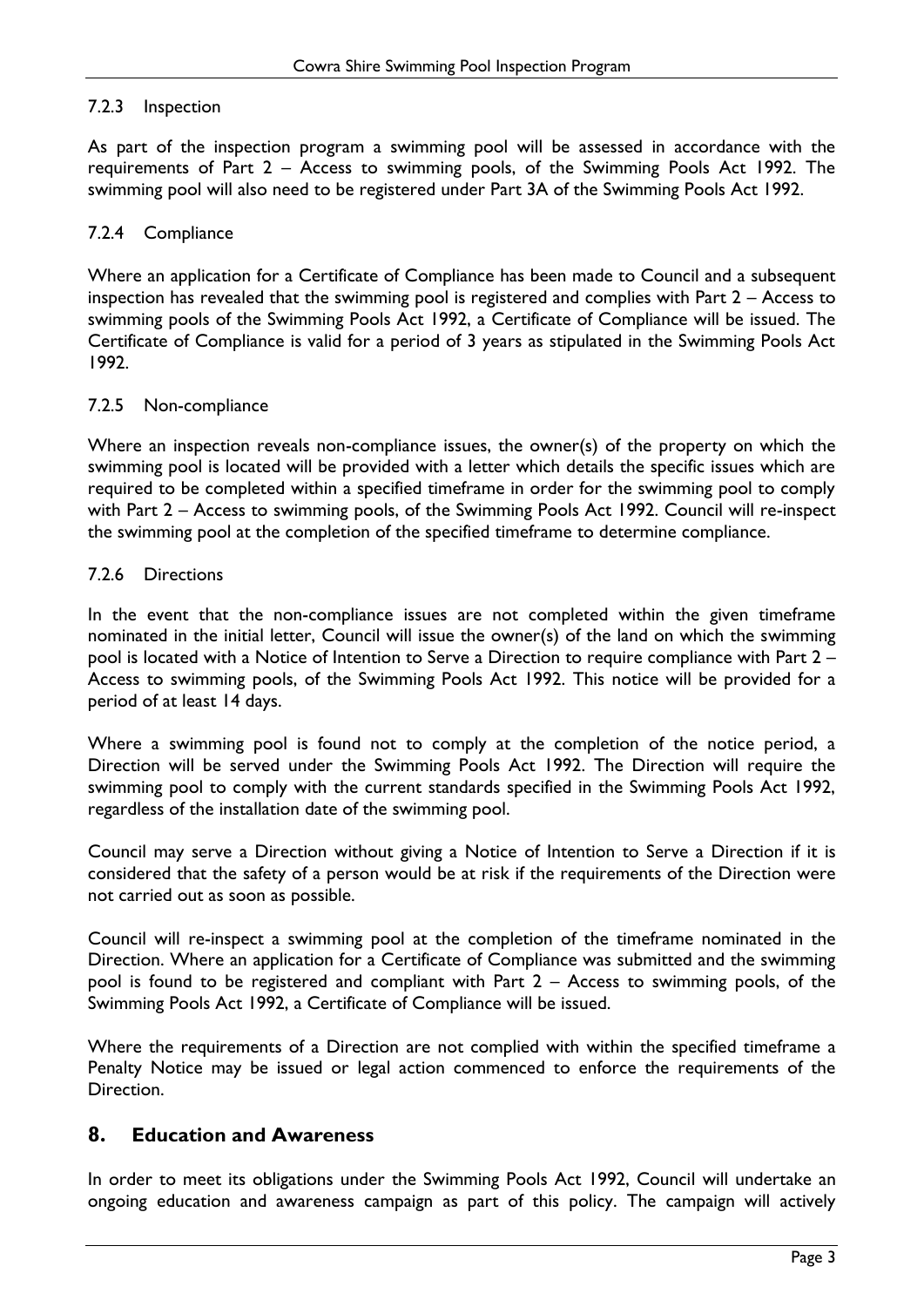#### <span id="page-5-0"></span>7.2.3 Inspection

As part of the inspection program a swimming pool will be assessed in accordance with the requirements of Part 2 – Access to swimming pools, of the Swimming Pools Act 1992. The swimming pool will also need to be registered under Part 3A of the Swimming Pools Act 1992.

#### <span id="page-5-1"></span>7.2.4 Compliance

Where an application for a Certificate of Compliance has been made to Council and a subsequent inspection has revealed that the swimming pool is registered and complies with Part 2 – Access to swimming pools of the Swimming Pools Act 1992, a Certificate of Compliance will be issued. The Certificate of Compliance is valid for a period of 3 years as stipulated in the Swimming Pools Act 1992.

#### <span id="page-5-2"></span>7.2.5 Non-compliance

Where an inspection reveals non-compliance issues, the owner(s) of the property on which the swimming pool is located will be provided with a letter which details the specific issues which are required to be completed within a specified timeframe in order for the swimming pool to comply with Part 2 – Access to swimming pools, of the Swimming Pools Act 1992. Council will re-inspect the swimming pool at the completion of the specified timeframe to determine compliance.

#### <span id="page-5-3"></span>7.2.6 Directions

In the event that the non-compliance issues are not completed within the given timeframe nominated in the initial letter, Council will issue the owner(s) of the land on which the swimming pool is located with a Notice of Intention to Serve a Direction to require compliance with Part 2 – Access to swimming pools, of the Swimming Pools Act 1992. This notice will be provided for a period of at least 14 days.

Where a swimming pool is found not to comply at the completion of the notice period, a Direction will be served under the Swimming Pools Act 1992. The Direction will require the swimming pool to comply with the current standards specified in the Swimming Pools Act 1992, regardless of the installation date of the swimming pool.

Council may serve a Direction without giving a Notice of Intention to Serve a Direction if it is considered that the safety of a person would be at risk if the requirements of the Direction were not carried out as soon as possible.

Council will re-inspect a swimming pool at the completion of the timeframe nominated in the Direction. Where an application for a Certificate of Compliance was submitted and the swimming pool is found to be registered and compliant with Part 2 – Access to swimming pools, of the Swimming Pools Act 1992, a Certificate of Compliance will be issued.

Where the requirements of a Direction are not complied with within the specified timeframe a Penalty Notice may be issued or legal action commenced to enforce the requirements of the Direction.

# <span id="page-5-4"></span>**8. Education and Awareness**

In order to meet its obligations under the Swimming Pools Act 1992, Council will undertake an ongoing education and awareness campaign as part of this policy. The campaign will actively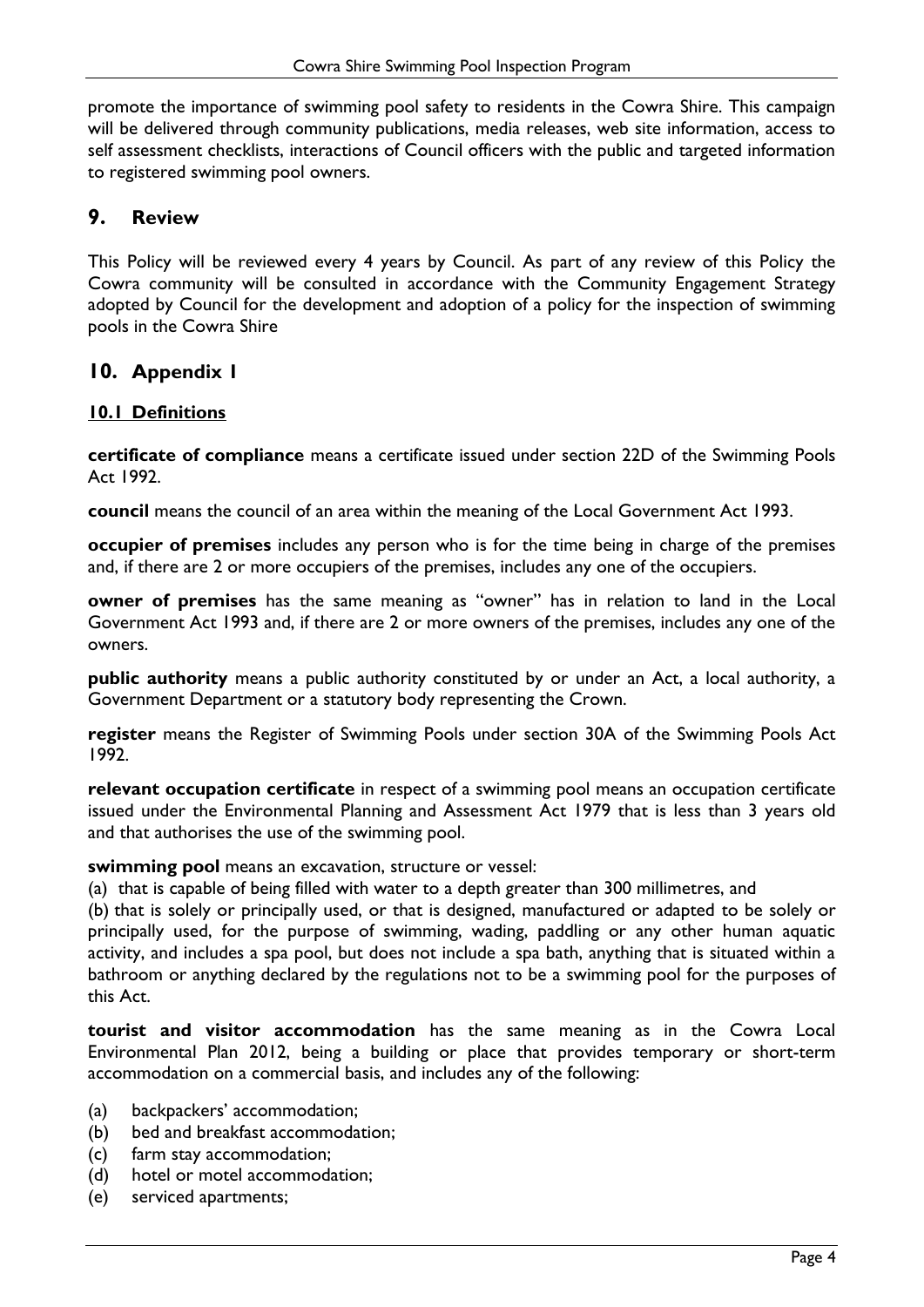promote the importance of swimming pool safety to residents in the Cowra Shire. This campaign will be delivered through community publications, media releases, web site information, access to self assessment checklists, interactions of Council officers with the public and targeted information to registered swimming pool owners.

# <span id="page-6-0"></span>**9. Review**

This Policy will be reviewed every 4 years by Council. As part of any review of this Policy the Cowra community will be consulted in accordance with the Community Engagement Strategy adopted by Council for the development and adoption of a policy for the inspection of swimming pools in the Cowra Shire

# <span id="page-6-1"></span>**10. Appendix 1**

#### <span id="page-6-2"></span>**10.1 Definitions**

**certificate of compliance** means a certificate issued under section 22D of the Swimming Pools Act 1992.

**council** means the council of an area within the meaning of the [Local Government Act 1993.](http://www.legislation.nsw.gov.au/xref/inforce/?xref=Type%3Dact%20AND%20Year%3D1993%20AND%20no%3D30&nohits=y)

**occupier of premises** includes any person who is for the time being in charge of the premises and, if there are 2 or more occupiers of the premises, includes any one of the occupiers.

**owner of premises** has the same meaning as "owner" has in relation to land in the [Local](http://www.legislation.nsw.gov.au/xref/inforce/?xref=Type%3Dact%20AND%20Year%3D1993%20AND%20no%3D30&nohits=y)  [Government Act 1993](http://www.legislation.nsw.gov.au/xref/inforce/?xref=Type%3Dact%20AND%20Year%3D1993%20AND%20no%3D30&nohits=y) and, if there are 2 or more owners of the premises, includes any one of the owners.

**public authority** means a public authority constituted by or under an Act, a local authority, a Government Department or a statutory body representing the Crown.

**register** means the Register of Swimming Pools under section 30A of the Swimming Pools Act 1992.

**relevant occupation certificate** in respect of a swimming pool means an occupation certificate issued under the [Environmental Planning and Assessment Act 1979](http://www.legislation.nsw.gov.au/xref/inforce/?xref=Type%3Dact%20AND%20Year%3D1979%20AND%20no%3D203&nohits=y) that is less than 3 years old and that authorises the use of the swimming pool.

**swimming pool** means an excavation, structure or vessel:

(a) that is capable of being filled with water to a depth greater than 300 millimetres, and

(b) that is solely or principally used, or that is designed, manufactured or adapted to be solely or principally used, for the purpose of swimming, wading, paddling or any other human aquatic activity, and includes a spa pool, but does not include a spa bath, anything that is situated within a bathroom or anything declared by the regulations not to be a swimming pool for the purposes of this Act.

**tourist and visitor accommodation** has the same meaning as in the Cowra Local Environmental Plan 2012, being a building or place that provides temporary or short-term accommodation on a commercial basis, and includes any of the following:

- (a) backpackers' accommodation;
- (b) bed and breakfast accommodation;
- (c) farm stay accommodation;
- (d) hotel or motel accommodation;
- (e) serviced apartments;